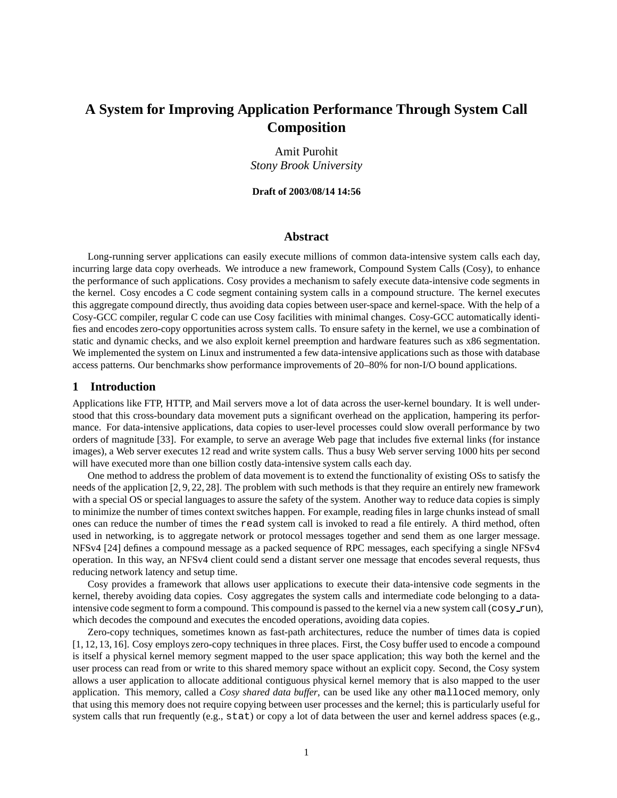# **A System for Improving Application Performance Through System Call Composition**

Amit Purohit *Stony Brook University*

#### **Draft of 2003/08/14 14:56**

### **Abstract**

Long-running server applications can easily execute millions of common data-intensive system calls each day, incurring large data copy overheads. We introduce a new framework, Compound System Calls (Cosy), to enhance the performance of such applications. Cosy provides a mechanism to safely execute data-intensive code segments in the kernel. Cosy encodes a C code segment containing system calls in a compound structure. The kernel executes this aggregate compound directly, thus avoiding data copies between user-space and kernel-space. With the help of a Cosy-GCC compiler, regular C code can use Cosy facilities with minimal changes. Cosy-GCC automatically identifies and encodes zero-copy opportunities across system calls. To ensure safety in the kernel, we use a combination of static and dynamic checks, and we also exploit kernel preemption and hardware features such as x86 segmentation. We implemented the system on Linux and instrumented a few data-intensive applications such as those with database access patterns. Our benchmarks show performance improvements of 20–80% for non-I/O bound applications.

### **1 Introduction**

Applications like FTP, HTTP, and Mail servers move a lot of data across the user-kernel boundary. It is well understood that this cross-boundary data movement puts a significant overhead on the application, hampering its performance. For data-intensive applications, data copies to user-level processes could slow overall performance by two orders of magnitude [33]. For example, to serve an average Web page that includes five external links (for instance images), a Web server executes 12 read and write system calls. Thus a busy Web server serving 1000 hits per second will have executed more than one billion costly data-intensive system calls each day.

One method to address the problem of data movement is to extend the functionality of existing OSs to satisfy the needs of the application [2, 9, 22, 28]. The problem with such methods is that they require an entirely new framework with a special OS or special languages to assure the safety of the system. Another way to reduce data copies is simply to minimize the number of times context switches happen. For example, reading files in large chunks instead of small ones can reduce the number of times the read system call is invoked to read a file entirely. A third method, often used in networking, is to aggregate network or protocol messages together and send them as one larger message. NFSv4 [24] defines a compound message as a packed sequence of RPC messages, each specifying a single NFSv4 operation. In this way, an NFSv4 client could send a distant server one message that encodes several requests, thus reducing network latency and setup time.

Cosy provides a framework that allows user applications to execute their data-intensive code segments in the kernel, thereby avoiding data copies. Cosy aggregates the system calls and intermediate code belonging to a dataintensive code segment to form a compound. This compound is passed to the kernel via a new system call ( $cosy$  run), which decodes the compound and executes the encoded operations, avoiding data copies.

Zero-copy techniques, sometimes known as fast-path architectures, reduce the number of times data is copied [1, 12, 13, 16]. Cosy employs zero-copy techniques in three places. First, the Cosy buffer used to encode a compound is itself a physical kernel memory segment mapped to the user space application; this way both the kernel and the user process can read from or write to this shared memory space without an explicit copy. Second, the Cosy system allows a user application to allocate additional contiguous physical kernel memory that is also mapped to the user application. This memory, called a *Cosy shared data buffer*, can be used like any other malloced memory, only that using this memory does not require copying between user processes and the kernel; this is particularly useful for system calls that run frequently (e.g.,  $stat$ ) or copy a lot of data between the user and kernel address spaces (e.g.,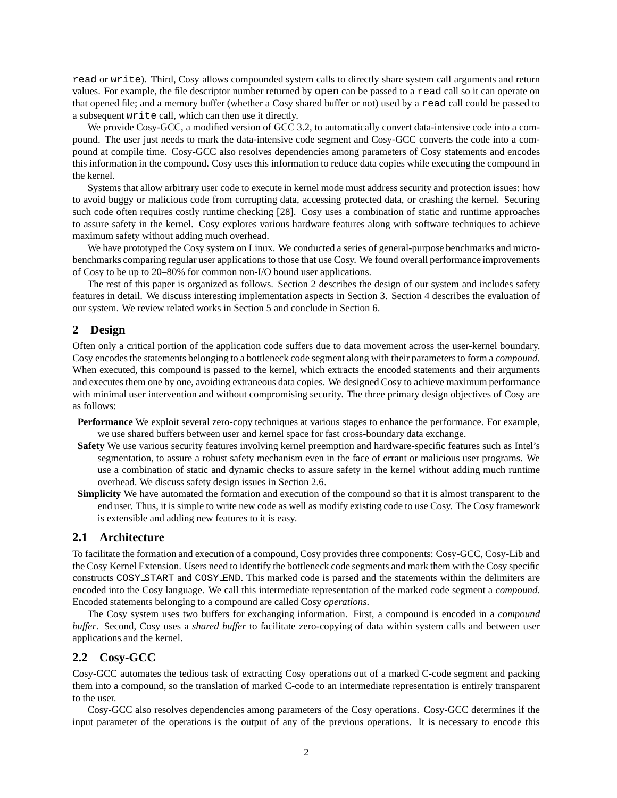read or write). Third, Cosy allows compounded system calls to directly share system call arguments and return values. For example, the file descriptor number returned by open can be passed to a read call so it can operate on that opened file; and a memory buffer (whether a Cosy shared buffer or not) used by a read call could be passed to a subsequent write call, which can then use it directly.

We provide Cosy-GCC, a modified version of GCC 3.2, to automatically convert data-intensive code into a compound. The user just needs to mark the data-intensive code segment and Cosy-GCC converts the code into a compound at compile time. Cosy-GCC also resolves dependencies among parameters of Cosy statements and encodes this information in the compound. Cosy uses this information to reduce data copies while executing the compound in the kernel.

Systems that allow arbitrary user code to execute in kernel mode must address security and protection issues: how to avoid buggy or malicious code from corrupting data, accessing protected data, or crashing the kernel. Securing such code often requires costly runtime checking [28]. Cosy uses a combination of static and runtime approaches to assure safety in the kernel. Cosy explores various hardware features along with software techniques to achieve maximum safety without adding much overhead.

We have prototyped the Cosy system on Linux. We conducted a series of general-purpose benchmarks and microbenchmarks comparing regular user applications to those that use Cosy. We found overall performance improvements of Cosy to be up to 20–80% for common non-I/O bound user applications.

The rest of this paper is organized as follows. Section 2 describes the design of our system and includes safety features in detail. We discuss interesting implementation aspects in Section 3. Section 4 describes the evaluation of our system. We review related works in Section 5 and conclude in Section 6.

# **2 Design**

Often only a critical portion of the application code suffers due to data movement across the user-kernel boundary. Cosy encodesthe statements belonging to a bottleneck code segment along with their parametersto form a *compound*. When executed, this compound is passed to the kernel, which extracts the encoded statements and their arguments and executes them one by one, avoiding extraneous data copies. We designed Cosy to achieve maximum performance with minimal user intervention and without compromising security. The three primary design objectives of Cosy are as follows:

- **Performance** We exploit several zero-copy techniques at various stages to enhance the performance. For example, we use shared buffers between user and kernel space for fast cross-boundary data exchange.
- **Safety** We use various security features involving kernel preemption and hardware-specific features such as Intel's segmentation, to assure a robust safety mechanism even in the face of errant or malicious user programs. We use a combination of static and dynamic checks to assure safety in the kernel without adding much runtime overhead. We discuss safety design issues in Section 2.6.
- **Simplicity** We have automated the formation and execution of the compound so that it is almost transparent to the end user. Thus, it is simple to write new code as well as modify existing code to use Cosy. The Cosy framework is extensible and adding new features to it is easy.

# **2.1 Architecture**

To facilitate the formation and execution of a compound, Cosy providesthree components: Cosy-GCC, Cosy-Lib and the Cosy Kernel Extension. Users need to identify the bottleneck code segments and mark them with the Cosy specific constructs COSY START and COSY END. This marked code is parsed and the statements within the delimiters are encoded into the Cosy language. We call this intermediate representation of the marked code segment a *compound*. Encoded statements belonging to a compound are called Cosy *operations*.

The Cosy system uses two buffers for exchanging information. First, a compound is encoded in a *compound buffer*. Second, Cosy uses a *shared buffer* to facilitate zero-copying of data within system calls and between user applications and the kernel.

### **2.2 Cosy-GCC**

Cosy-GCC automates the tedious task of extracting Cosy operations out of a marked C-code segment and packing them into a compound, so the translation of marked C-code to an intermediate representation is entirely transparent to the user.

Cosy-GCC also resolves dependencies among parameters of the Cosy operations. Cosy-GCC determines if the input parameter of the operations is the output of any of the previous operations. It is necessary to encode this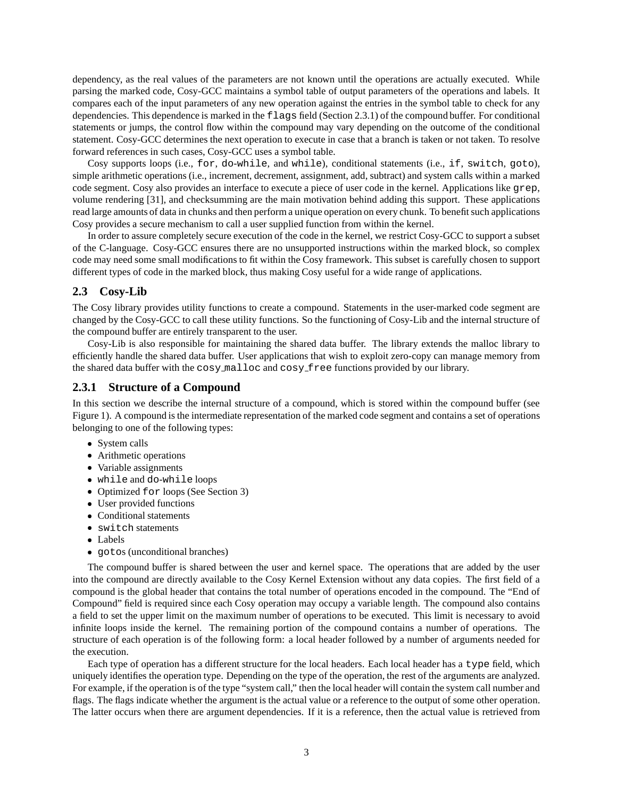dependency, as the real values of the parameters are not known until the operations are actually executed. While parsing the marked code, Cosy-GCC maintains a symbol table of output parameters of the operations and labels. It compares each of the input parameters of any new operation against the entries in the symbol table to check for any dependencies. This dependence is marked in the flags field (Section 2.3.1) of the compound buffer. For conditional statements or jumps, the control flow within the compound may vary depending on the outcome of the conditional statement. Cosy-GCC determines the next operation to execute in case that a branch is taken or not taken. To resolve forward references in such cases, Cosy-GCC uses a symbol table.

Cosy supports loops (i.e., for, do-while, and while), conditional statements (i.e., if, switch, goto), simple arithmetic operations (i.e., increment, decrement, assignment, add, subtract) and system calls within a marked code segment. Cosy also provides an interface to execute a piece of user code in the kernel. Applications like grep, volume rendering [31], and checksumming are the main motivation behind adding this support. These applications read large amounts of data in chunks and then perform a unique operation on every chunk. To benefit such applications Cosy provides a secure mechanism to call a user supplied function from within the kernel.

In order to assure completely secure execution of the code in the kernel, we restrict Cosy-GCC to support a subset of the C-language. Cosy-GCC ensures there are no unsupported instructions within the marked block, so complex code may need some small modifications to fit within the Cosy framework. This subset is carefully chosen to support different types of code in the marked block, thus making Cosy useful for a wide range of applications.

# **2.3 Cosy-Lib**

The Cosy library provides utility functions to create a compound. Statements in the user-marked code segment are changed by the Cosy-GCC to call these utility functions. So the functioning of Cosy-Lib and the internal structure of the compound buffer are entirely transparent to the user.

Cosy-Lib is also responsible for maintaining the shared data buffer. The library extends the malloc library to efficiently handle the shared data buffer. User applications that wish to exploit zero-copy can manage memory from the shared data buffer with the cosy malloc and cosy free functions provided by our library.

### **2.3.1 Structure of a Compound**

In this section we describe the internal structure of a compound, which is stored within the compound buffer (see Figure 1). A compound is the intermediate representation of the marked code segment and contains a set of operations belonging to one of the following types:

- System calls
- Arithmetic operations
- Variable assignments
- while and do-while loops
- Optimized for loops (See Section 3)
- User provided functions
- Conditional statements
- switch statements
- Labels
- gotos (unconditional branches)

The compound buffer is shared between the user and kernel space. The operations that are added by the user into the compound are directly available to the Cosy Kernel Extension without any data copies. The first field of a compound is the global header that contains the total number of operations encoded in the compound. The "End of Compound" field is required since each Cosy operation may occupy a variable length. The compound also contains a field to set the upper limit on the maximum number of operations to be executed. This limit is necessary to avoid infinite loops inside the kernel. The remaining portion of the compound contains a number of operations. The structure of each operation is of the following form: a local header followed by a number of arguments needed for the execution.

Each type of operation has a different structure for the local headers. Each local header has a type field, which uniquely identifies the operation type. Depending on the type of the operation, the rest of the arguments are analyzed. For example, if the operation is of the type "system call," then the local header will contain the system call number and flags. The flags indicate whether the argument is the actual value or a reference to the output of some other operation. The latter occurs when there are argument dependencies. If it is a reference, then the actual value is retrieved from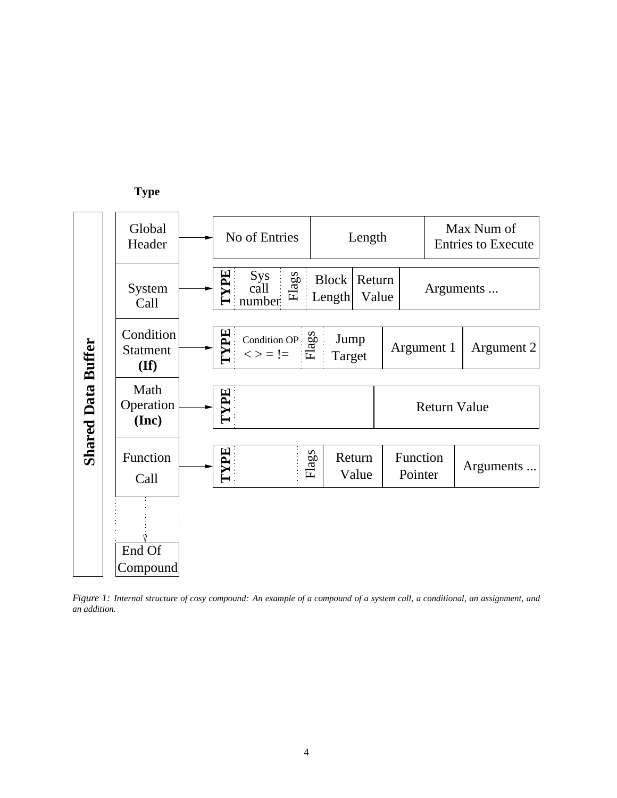

Figure 1: Internal structure of cosy compound: An example of a compound of a system call, a conditional, an assignment, and *an addition.*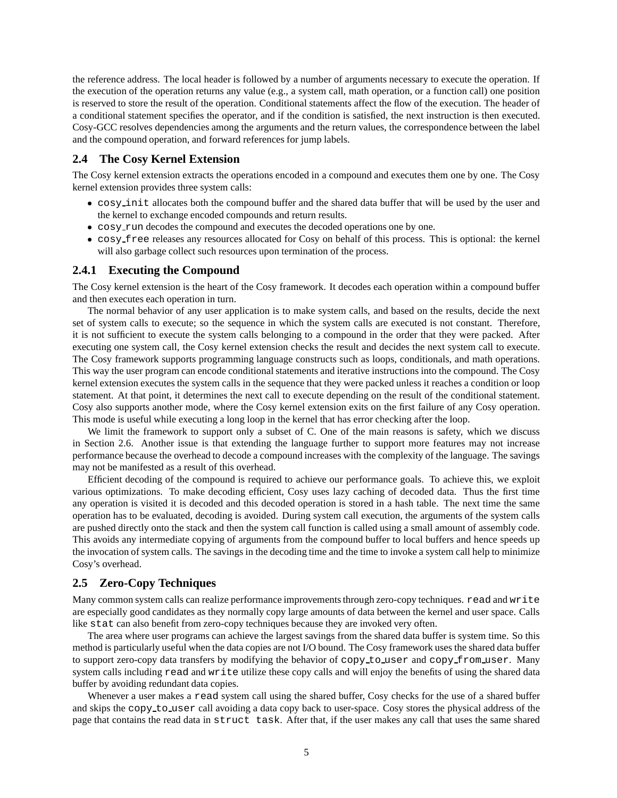the reference address. The local header is followed by a number of arguments necessary to execute the operation. If the execution of the operation returns any value (e.g., a system call, math operation, or a function call) one position is reserved to store the result of the operation. Conditional statements affect the flow of the execution. The header of a conditional statement specifies the operator, and if the condition is satisfied, the next instruction is then executed. Cosy-GCC resolves dependencies among the arguments and the return values, the correspondence between the label and the compound operation, and forward references for jump labels.

### **2.4 The Cosy Kernel Extension**

The Cosy kernel extension extracts the operations encoded in a compound and executes them one by one. The Cosy kernel extension provides three system calls:

- cosy init allocates both the compound buffer and the shared data buffer that will be used by the user and the kernel to exchange encoded compounds and return results.
- cosy run decodes the compound and executes the decoded operations one by one.
- cosy free releases any resources allocated for Cosy on behalf of this process. This is optional: the kernel will also garbage collect such resources upon termination of the process.

### **2.4.1 Executing the Compound**

The Cosy kernel extension is the heart of the Cosy framework. It decodes each operation within a compound buffer and then executes each operation in turn.

The normal behavior of any user application is to make system calls, and based on the results, decide the next set of system calls to execute; so the sequence in which the system calls are executed is not constant. Therefore, it is not sufficient to execute the system calls belonging to a compound in the order that they were packed. After executing one system call, the Cosy kernel extension checks the result and decides the next system call to execute. The Cosy framework supports programming language constructs such as loops, conditionals, and math operations. This way the user program can encode conditional statements and iterative instructions into the compound. The Cosy kernel extension executes the system calls in the sequence that they were packed unless it reaches a condition or loop statement. At that point, it determines the next call to execute depending on the result of the conditional statement. Cosy also supports another mode, where the Cosy kernel extension exits on the first failure of any Cosy operation. This mode is useful while executing a long loop in the kernel that has error checking after the loop.

We limit the framework to support only a subset of C. One of the main reasons is safety, which we discuss in Section 2.6. Another issue is that extending the language further to support more features may not increase performance because the overhead to decode a compound increases with the complexity of the language. The savings may not be manifested as a result of this overhead.

Efficient decoding of the compound is required to achieve our performance goals. To achieve this, we exploit various optimizations. To make decoding efficient, Cosy uses lazy caching of decoded data. Thus the first time any operation is visited it is decoded and this decoded operation is stored in a hash table. The next time the same operation has to be evaluated, decoding is avoided. During system call execution, the arguments of the system calls are pushed directly onto the stack and then the system call function is called using a small amount of assembly code. This avoids any intermediate copying of arguments from the compound buffer to local buffers and hence speeds up the invocation of system calls. The savings in the decoding time and the time to invoke a system call help to minimize Cosy's overhead.

### **2.5 Zero-Copy Techniques**

Many common system calls can realize performance improvements through zero-copy techniques. read and write are especially good candidates as they normally copy large amounts of data between the kernel and user space. Calls like stat can also benefit from zero-copy techniques because they are invoked very often.

The area where user programs can achieve the largest savings from the shared data buffer is system time. So this method is particularly useful when the data copies are not I/O bound. The Cosy framework uses the shared data buffer to support zero-copy data transfers by modifying the behavior of copy\_to\_user and copy\_from\_user. Many system calls including read and write utilize these copy calls and will enjoy the benefits of using the shared data buffer by avoiding redundant data copies.

Whenever a user makes a read system call using the shared buffer, Cosy checks for the use of a shared buffer and skips the copy to user call avoiding a data copy back to user-space. Cosy stores the physical address of the page that contains the read data in struct task. After that, if the user makes any call that uses the same shared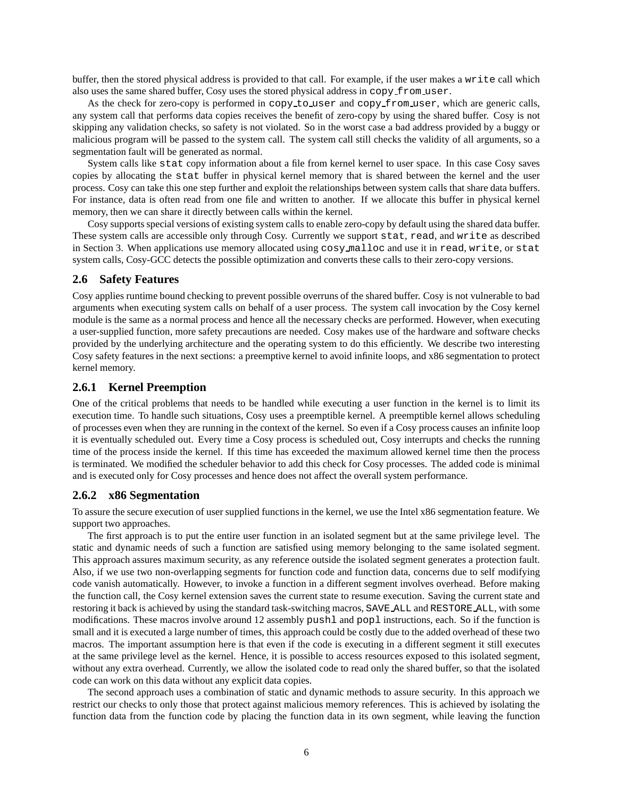buffer, then the stored physical address is provided to that call. For example, if the user makes a write call which also uses the same shared buffer, Cosy uses the stored physical address in copy from user.

As the check for zero-copy is performed in copy to user and copy from user, which are generic calls, any system call that performs data copies receives the benefit of zero-copy by using the shared buffer. Cosy is not skipping any validation checks, so safety is not violated. So in the worst case a bad address provided by a buggy or malicious program will be passed to the system call. The system call still checks the validity of all arguments, so a segmentation fault will be generated as normal.

System calls like stat copy information about a file from kernel kernel to user space. In this case Cosy saves copies by allocating the stat buffer in physical kernel memory that is shared between the kernel and the user process. Cosy can take this one step further and exploit the relationships between system calls that share data buffers. For instance, data is often read from one file and written to another. If we allocate this buffer in physical kernel memory, then we can share it directly between calls within the kernel.

Cosy supports special versions of existing system calls to enable zero-copy by default using the shared data buffer. These system calls are accessible only through Cosy. Currently we support stat, read, and write as described in Section 3. When applications use memory allocated using cosy malloc and use it in read, write, or stat system calls, Cosy-GCC detects the possible optimization and converts these calls to their zero-copy versions.

### **2.6 Safety Features**

Cosy applies runtime bound checking to prevent possible overruns of the shared buffer. Cosy is not vulnerable to bad arguments when executing system calls on behalf of a user process. The system call invocation by the Cosy kernel module is the same as a normal process and hence all the necessary checks are performed. However, when executing a user-supplied function, more safety precautions are needed. Cosy makes use of the hardware and software checks provided by the underlying architecture and the operating system to do this efficiently. We describe two interesting Cosy safety features in the next sections: a preemptive kernel to avoid infinite loops, and x86 segmentation to protect kernel memory.

### **2.6.1 Kernel Preemption**

One of the critical problems that needs to be handled while executing a user function in the kernel is to limit its execution time. To handle such situations, Cosy uses a preemptible kernel. A preemptible kernel allows scheduling of processes even when they are running in the context of the kernel. So even if a Cosy process causes an infinite loop it is eventually scheduled out. Every time a Cosy process is scheduled out, Cosy interrupts and checks the running time of the process inside the kernel. If this time has exceeded the maximum allowed kernel time then the process is terminated. We modified the scheduler behavior to add this check for Cosy processes. The added code is minimal and is executed only for Cosy processes and hence does not affect the overall system performance.

### **2.6.2 x86 Segmentation**

To assure the secure execution of user supplied functions in the kernel, we use the Intel x86 segmentation feature. We support two approaches.

The first approach is to put the entire user function in an isolated segment but at the same privilege level. The static and dynamic needs of such a function are satisfied using memory belonging to the same isolated segment. This approach assures maximum security, as any reference outside the isolated segment generates a protection fault. Also, if we use two non-overlapping segments for function code and function data, concerns due to self modifying code vanish automatically. However, to invoke a function in a different segment involves overhead. Before making the function call, the Cosy kernel extension saves the current state to resume execution. Saving the current state and restoring it back is achieved by using the standard task-switching macros, SAVE ALL and RESTORE ALL, with some modifications. These macros involve around 12 assembly pushl and popl instructions, each. So if the function is small and it is executed a large number of times, this approach could be costly due to the added overhead of these two macros. The important assumption here is that even if the code is executing in a different segment it still executes at the same privilege level as the kernel. Hence, it is possible to access resources exposed to this isolated segment, without any extra overhead. Currently, we allow the isolated code to read only the shared buffer, so that the isolated code can work on this data without any explicit data copies.

The second approach uses a combination of static and dynamic methods to assure security. In this approach we restrict our checks to only those that protect against malicious memory references. This is achieved by isolating the function data from the function code by placing the function data in its own segment, while leaving the function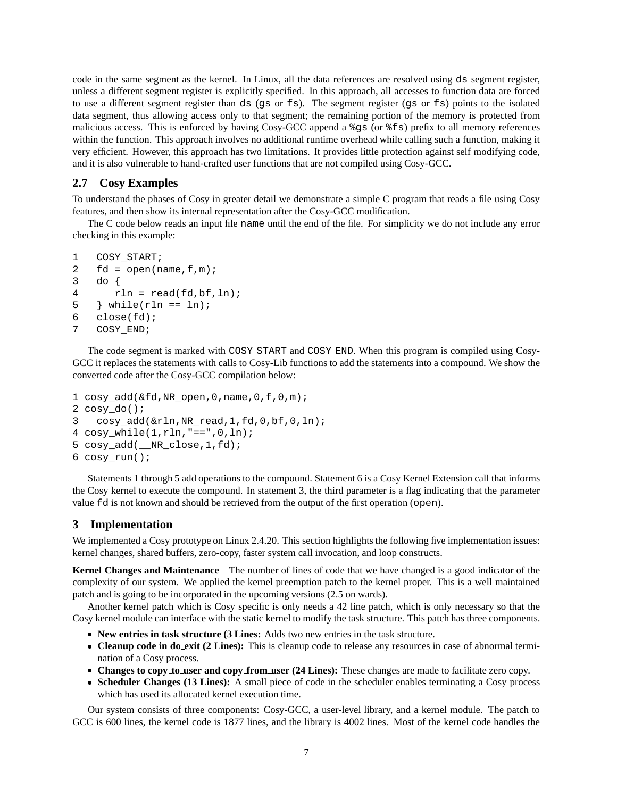code in the same segment as the kernel. In Linux, all the data references are resolved using ds segment register, unless a different segment register is explicitly specified. In this approach, all accesses to function data are forced to use a different segment register than ds (gs or fs). The segment register (gs or fs) points to the isolated data segment, thus allowing access only to that segment; the remaining portion of the memory is protected from malicious access. This is enforced by having Cosy-GCC append a %gs (or %fs) prefix to all memory references within the function. This approach involves no additional runtime overhead while calling such a function, making it very efficient. However, this approach has two limitations. It provides little protection against self modifying code, and it is also vulnerable to hand-crafted user functions that are not compiled using Cosy-GCC.

# **2.7 Cosy Examples**

To understand the phases of Cosy in greater detail we demonstrate a simple C program that reads a file using Cosy features, and then show its internal representation after the Cosy-GCC modification.

The C code below reads an input file name until the end of the file. For simplicity we do not include any error checking in this example:

```
1 COSY_START;
2 fd = open(name, f, m);3 do {
4 r \ln = \text{read}(fd, bf, ln);5 \} while(rln == ln);
6 close(fd);
7 COSY_END;
```
The code segment is marked with COSY START and COSY END. When this program is compiled using Cosy-GCC it replaces the statements with calls to Cosy-Lib functions to add the statements into a compound. We show the converted code after the Cosy-GCC compilation below:

```
1 cosy_add(&fd,NR_open,0,name,0,f,0,m);
2 cosy_do();
3 cosy_add(&rln,NR_read,1,fd,0,bf,0,ln);
4 cosy_while(1,rln,"==",0,ln);
5 cosy_add(__NR_close,1,fd);
6 cosy_run();
```
Statements 1 through 5 add operations to the compound. Statement 6 is a Cosy Kernel Extension call that informs the Cosy kernel to execute the compound. In statement 3, the third parameter is a flag indicating that the parameter value fd is not known and should be retrieved from the output of the first operation (open).

# **3 Implementation**

We implemented a Cosy prototype on Linux 2.4.20. This section highlights the following five implementation issues: kernel changes, shared buffers, zero-copy, faster system call invocation, and loop constructs.

**Kernel Changes and Maintenance** The number of lines of code that we have changed is a good indicator of the complexity of our system. We applied the kernel preemption patch to the kernel proper. This is a well maintained patch and is going to be incorporated in the upcoming versions (2.5 on wards).

Another kernel patch which is Cosy specific is only needs a 42 line patch, which is only necessary so that the Cosy kernel module can interface with the static kernel to modify the task structure. This patch has three components.

- **New entries in task structure (3 Lines:** Adds two new entries in the task structure.
- **Cleanup code in do exit (2 Lines):** This is cleanup code to release any resources in case of abnormal termination of a Cosy process.
- **Changes to copy to user and copy from user (24 Lines):** These changes are made to facilitate zero copy.
- **Scheduler Changes (13 Lines):** A small piece of code in the scheduler enables terminating a Cosy process which has used its allocated kernel execution time.

Our system consists of three components: Cosy-GCC, a user-level library, and a kernel module. The patch to GCC is 600 lines, the kernel code is 1877 lines, and the library is 4002 lines. Most of the kernel code handles the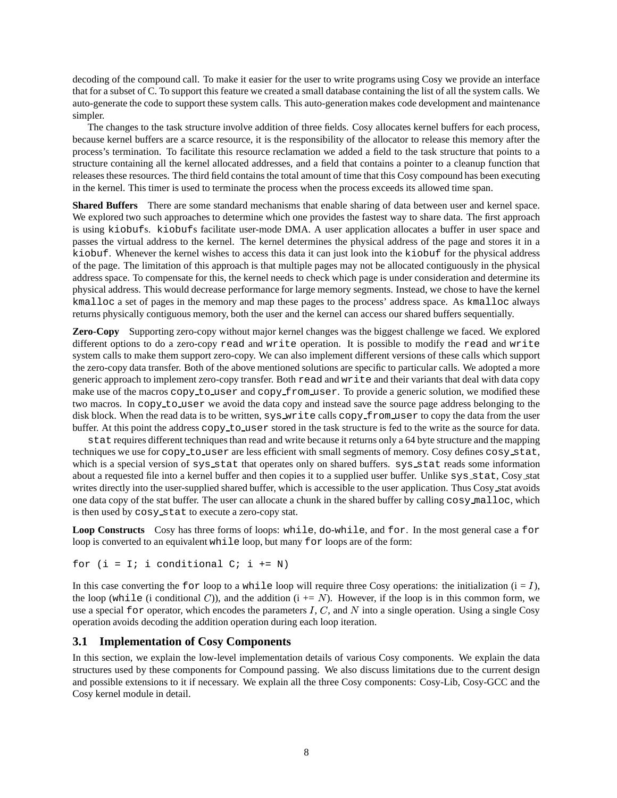decoding of the compound call. To make it easier for the user to write programs using Cosy we provide an interface that for a subset of C. To support this feature we created a small database containing the list of all the system calls. We auto-generate the code to support these system calls. This auto-generation makes code development and maintenance simpler.

The changes to the task structure involve addition of three fields. Cosy allocates kernel buffers for each process, because kernel buffers are a scarce resource, it is the responsibility of the allocator to release this memory after the process's termination. To facilitate this resource reclamation we added a field to the task structure that points to a structure containing all the kernel allocated addresses, and a field that contains a pointer to a cleanup function that releases these resources. The third field contains the total amount of time that this Cosy compound has been executing in the kernel. This timer is used to terminate the process when the process exceeds its allowed time span.

**Shared Buffers** There are some standard mechanisms that enable sharing of data between user and kernel space. We explored two such approaches to determine which one provides the fastest way to share data. The first approach is using kiobufs. kiobufs facilitate user-mode DMA. A user application allocates a buffer in user space and passes the virtual address to the kernel. The kernel determines the physical address of the page and stores it in a kiobuf. Whenever the kernel wishes to access this data it can just look into the kiobuf for the physical address of the page. The limitation of this approach is that multiple pages may not be allocated contiguously in the physical address space. To compensate for this, the kernel needs to check which page is under consideration and determine its physical address. This would decrease performance for large memory segments. Instead, we chose to have the kernel kmalloc a set of pages in the memory and map these pages to the process' address space. As kmalloc always returns physically contiguous memory, both the user and the kernel can access our shared buffers sequentially.

**Zero-Copy** Supporting zero-copy without major kernel changes was the biggest challenge we faced. We explored different options to do a zero-copy read and write operation. It is possible to modify the read and write system calls to make them support zero-copy. We can also implement different versions of these calls which support the zero-copy data transfer. Both of the above mentioned solutions are specific to particular calls. We adopted a more generic approach to implement zero-copy transfer. Both read and write and their variants that deal with data copy make use of the macros copy to user and copy from user. To provide a generic solution, we modified these two macros. In copy to user we avoid the data copy and instead save the source page address belonging to the disk block. When the read data is to be written, sys write calls copy from user to copy the data from the user buffer. At this point the address copy to user stored in the task structure is fed to the write as the source for data.

stat requires different techniques than read and write because it returns only a 64 byte structure and the mapping techniques we use for copy to user are less efficient with small segments of memory. Cosy defines cosy stat, which is a special version of sys\_stat that operates only on shared buffers. sys\_stat reads some information about a requested file into a kernel buffer and then copies it to a supplied user buffer. Unlike sys stat, Cosy stat writes directly into the user-supplied shared buffer, which is accessible to the user application. Thus Cosy stat avoids one data copy of the stat buffer. The user can allocate a chunk in the shared buffer by calling cosy malloc, which is then used by cosy stat to execute a zero-copy stat.

**Loop Constructs** Cosy has three forms of loops: while, do-while, and for. In the most general case a for loop is converted to an equivalent while loop, but many for loops are of the form:

for  $(i = I; i \text{ conditional } C; i \text{ += } N)$ 

In this case converting the  $for$  loop to a while loop will require three Cosy operations: the initialization  $(i = I)$ , the loop (while (i conditional C)), and the addition  $(i + N)$ . However, if the loop is in this common form, we use a special for operator, which encodes the parameters  $I, C$ , and  $N$  into a single operation. Using a single Cosy operation avoids decoding the addition operation during each loop iteration.

### **3.1 Implementation of Cosy Components**

In this section, we explain the low-level implementation details of various Cosy components. We explain the data structures used by these components for Compound passing. We also discuss limitations due to the current design and possible extensions to it if necessary. We explain all the three Cosy components: Cosy-Lib, Cosy-GCC and the Cosy kernel module in detail.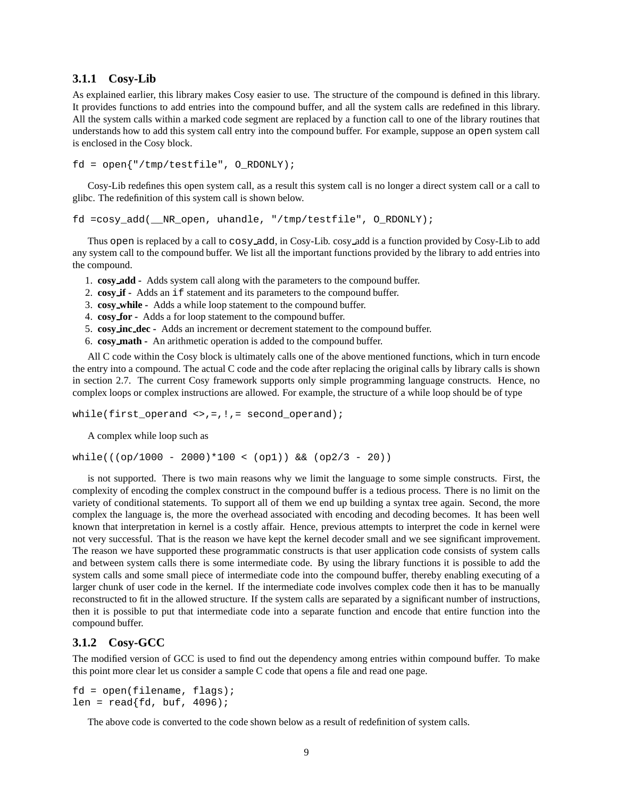### **3.1.1 Cosy-Lib**

As explained earlier, this library makes Cosy easier to use. The structure of the compound is defined in this library. It provides functions to add entries into the compound buffer, and all the system calls are redefined in this library. All the system calls within a marked code segment are replaced by a function call to one of the library routines that understands how to add this system call entry into the compound buffer. For example, suppose an open system call is enclosed in the Cosy block.

```
fd = open{''/tmp/testfile", O RDOMLY};
```
Cosy-Lib redefines this open system call, as a result this system call is no longer a direct system call or a call to glibc. The redefinition of this system call is shown below.

fd =cosy\_add(\_\_NR\_open, uhandle, "/tmp/testfile", O\_RDONLY);

Thus open is replaced by a call to cosy add, in Cosy-Lib. cosy add is a function provided by Cosy-Lib to add any system call to the compound buffer. We list all the important functions provided by the library to add entries into the compound.

- 1. **cosy add -** Adds system call along with the parameters to the compound buffer.
- 2. **cosy if -** Adds an if statement and its parameters to the compound buffer.
- 3. **cosy while -** Adds a while loop statement to the compound buffer.
- 4. **cosy for -** Adds a for loop statement to the compound buffer.
- 5. **cosy inc dec -** Adds an increment or decrement statement to the compound buffer.
- 6. **cosy math -** An arithmetic operation is added to the compound buffer.

All C code within the Cosy block is ultimately calls one of the above mentioned functions, which in turn encode the entry into a compound. The actual C code and the code after replacing the original calls by library calls is shown in section 2.7. The current Cosy framework supports only simple programming language constructs. Hence, no complex loops or complex instructions are allowed. For example, the structure of a while loop should be of type

while(first\_operand <>,=,!,= second\_operand);

A complex while loop such as

 $while((op/1000 - 2000)*100 < (op1)) & & (op2/3 - 20))$ 

is not supported. There is two main reasons why we limit the language to some simple constructs. First, the complexity of encoding the complex construct in the compound buffer is a tedious process. There is no limit on the variety of conditional statements. To support all of them we end up building a syntax tree again. Second, the more complex the language is, the more the overhead associated with encoding and decoding becomes. It has been well known that interpretation in kernel is a costly affair. Hence, previous attempts to interpret the code in kernel were not very successful. That is the reason we have kept the kernel decoder small and we see significant improvement. The reason we have supported these programmatic constructs is that user application code consists of system calls and between system calls there is some intermediate code. By using the library functions it is possible to add the system calls and some small piece of intermediate code into the compound buffer, thereby enabling executing of a larger chunk of user code in the kernel. If the intermediate code involves complex code then it has to be manually reconstructed to fit in the allowed structure. If the system calls are separated by a significant number of instructions, then it is possible to put that intermediate code into a separate function and encode that entire function into the compound buffer.

# **3.1.2 Cosy-GCC**

The modified version of GCC is used to find out the dependency among entries within compound buffer. To make this point more clear let us consider a sample C code that opens a file and read one page.

```
fd = open(filename, flags);
len = read{fd, but, 4096};
```
The above code is converted to the code shown below as a result of redefinition of system calls.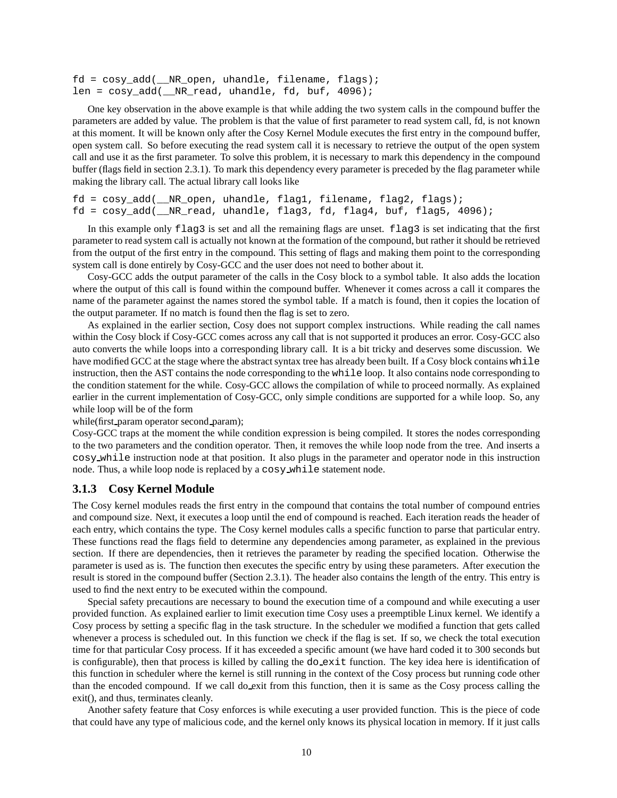$fd = \cos y \text{ add}$  (  $NR \text{ open}$ , uhandle, filename, flags); len =  $cosy$  add( NR read, uhandle, fd, buf, 4096);

One key observation in the above example is that while adding the two system calls in the compound buffer the parameters are added by value. The problem is that the value of first parameter to read system call, fd, is not known at this moment. It will be known only after the Cosy Kernel Module executes the first entry in the compound buffer, open system call. So before executing the read system call it is necessary to retrieve the output of the open system call and use it as the first parameter. To solve this problem, it is necessary to mark this dependency in the compound buffer (flags field in section 2.3.1). To mark this dependency every parameter is preceded by the flag parameter while making the library call. The actual library call looks like

```
fd = cosy_add(__NR_open, uhandle, flag1, filename, flag2, flags);
fd = cosy_add(__NR_read, uhandle, flag3, fd, flag4, buf, flag5, 4096);
```
In this example only flag3 is set and all the remaining flags are unset. flag3 is set indicating that the first parameter to read system call is actually not known at the formation of the compound, but rather it should be retrieved from the output of the first entry in the compound. This setting of flags and making them point to the corresponding system call is done entirely by Cosy-GCC and the user does not need to bother about it.

Cosy-GCC adds the output parameter of the calls in the Cosy block to a symbol table. It also adds the location where the output of this call is found within the compound buffer. Whenever it comes across a call it compares the name of the parameter against the names stored the symbol table. If a match is found, then it copies the location of the output parameter. If no match is found then the flag is set to zero.

As explained in the earlier section, Cosy does not support complex instructions. While reading the call names within the Cosy block if Cosy-GCC comes across any call that is not supported it produces an error. Cosy-GCC also auto converts the while loops into a corresponding library call. It is a bit tricky and deserves some discussion. We have modified GCC at the stage where the abstract syntax tree has already been built. If a Cosy block contains while instruction, then the AST contains the node corresponding to the while loop. It also contains node corresponding to the condition statement for the while. Cosy-GCC allows the compilation of while to proceed normally. As explained earlier in the current implementation of Cosy-GCC, only simple conditions are supported for a while loop. So, any while loop will be of the form

while(first param operator second param);

Cosy-GCC traps at the moment the while condition expression is being compiled. It stores the nodes corresponding to the two parameters and the condition operator. Then, it removes the while loop node from the tree. And inserts a cosy while instruction node at that position. It also plugs in the parameter and operator node in this instruction node. Thus, a while loop node is replaced by a cosy while statement node.

#### **3.1.3 Cosy Kernel Module**

The Cosy kernel modules reads the first entry in the compound that contains the total number of compound entries and compound size. Next, it executes a loop until the end of compound is reached. Each iteration reads the header of each entry, which contains the type. The Cosy kernel modules calls a specific function to parse that particular entry. These functions read the flags field to determine any dependencies among parameter, as explained in the previous section. If there are dependencies, then it retrieves the parameter by reading the specified location. Otherwise the parameter is used as is. The function then executes the specific entry by using these parameters. After execution the result is stored in the compound buffer (Section 2.3.1). The header also contains the length of the entry. This entry is used to find the next entry to be executed within the compound.

Special safety precautions are necessary to bound the execution time of a compound and while executing a user provided function. As explained earlier to limit execution time Cosy uses a preemptible Linux kernel. We identify a Cosy process by setting a specific flag in the task structure. In the scheduler we modified a function that gets called whenever a process is scheduled out. In this function we check if the flag is set. If so, we check the total execution time for that particular Cosy process. If it has exceeded a specific amount (we have hard coded it to 300 seconds but is configurable), then that process is killed by calling the  $d_{\text{o}-}$ exit function. The key idea here is identification of this function in scheduler where the kernel is still running in the context of the Cosy process but running code other than the encoded compound. If we call do exit from this function, then it is same as the Cosy process calling the exit(), and thus, terminates cleanly.

Another safety feature that Cosy enforces is while executing a user provided function. This is the piece of code that could have any type of malicious code, and the kernel only knows its physical location in memory. If it just calls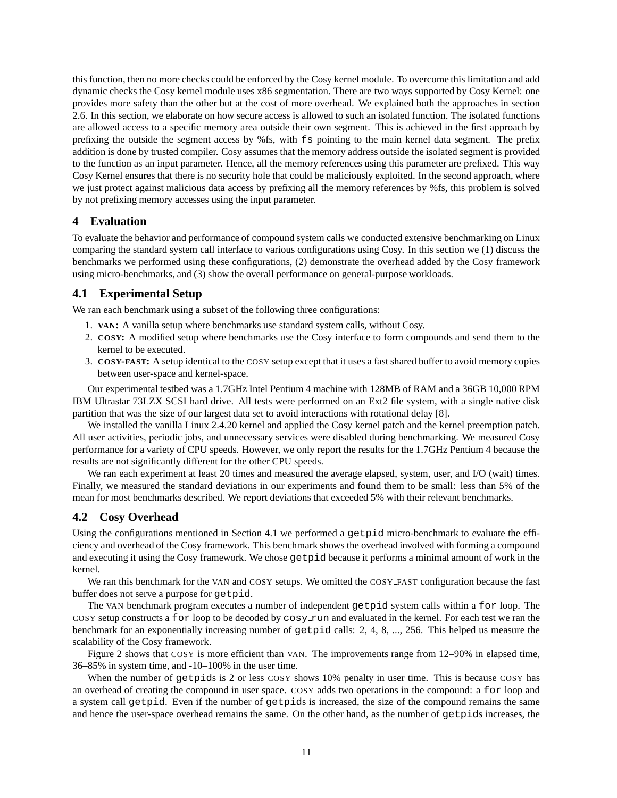this function, then no more checks could be enforced by the Cosy kernel module. To overcome this limitation and add dynamic checks the Cosy kernel module uses x86 segmentation. There are two ways supported by Cosy Kernel: one provides more safety than the other but at the cost of more overhead. We explained both the approaches in section 2.6. In this section, we elaborate on how secure access is allowed to such an isolated function. The isolated functions are allowed access to a specific memory area outside their own segment. This is achieved in the first approach by prefixing the outside the segment access by %fs, with fs pointing to the main kernel data segment. The prefix addition is done by trusted compiler. Cosy assumes that the memory address outside the isolated segment is provided to the function as an input parameter. Hence, all the memory references using this parameter are prefixed. This way Cosy Kernel ensures that there is no security hole that could be maliciously exploited. In the second approach, where we just protect against malicious data access by prefixing all the memory references by %fs, this problem is solved by not prefixing memory accesses using the input parameter.

# **4 Evaluation**

To evaluate the behavior and performance of compound system calls we conducted extensive benchmarking on Linux comparing the standard system call interface to various configurations using Cosy. In this section we (1) discuss the benchmarks we performed using these configurations, (2) demonstrate the overhead added by the Cosy framework using micro-benchmarks, and (3) show the overall performance on general-purpose workloads.

# **4.1 Experimental Setup**

We ran each benchmark using a subset of the following three configurations:

- 1. **VAN:** A vanilla setup where benchmarks use standard system calls, without Cosy.
- 2. **COSY:** A modified setup where benchmarks use the Cosy interface to form compounds and send them to the kernel to be executed.
- 3. **COSY-FAST:** A setup identical to the COSY setup except that it uses a fast shared buffer to avoid memory copies between user-space and kernel-space.

Our experimental testbed was a 1.7GHz Intel Pentium 4 machine with 128MB of RAM and a 36GB 10,000 RPM IBM Ultrastar 73LZX SCSI hard drive. All tests were performed on an Ext2 file system, with a single native disk partition that was the size of our largest data set to avoid interactions with rotational delay [8].

We installed the vanilla Linux 2.4.20 kernel and applied the Cosy kernel patch and the kernel preemption patch. All user activities, periodic jobs, and unnecessary services were disabled during benchmarking. We measured Cosy performance for a variety of CPU speeds. However, we only report the results for the 1.7GHz Pentium 4 because the results are not significantly different for the other CPU speeds.

We ran each experiment at least 20 times and measured the average elapsed, system, user, and I/O (wait) times. Finally, we measured the standard deviations in our experiments and found them to be small: less than 5% of the mean for most benchmarks described. We report deviations that exceeded 5% with their relevant benchmarks.

# **4.2 Cosy Overhead**

Using the configurations mentioned in Section 4.1 we performed a getpid micro-benchmark to evaluate the efficiency and overhead of the Cosy framework. This benchmark shows the overhead involved with forming a compound and executing it using the Cosy framework. We chose getpid because it performs a minimal amount of work in the kernel.

We ran this benchmark for the VAN and COSY setups. We omitted the COSY FAST configuration because the fast buffer does not serve a purpose for getpid.

The VAN benchmark program executes a number of independent getpid system calls within a for loop. The COSY setup constructs a for loop to be decoded by cosy run and evaluated in the kernel. For each test we ran the benchmark for an exponentially increasing number of getpid calls: 2, 4, 8, ..., 256. This helped us measure the scalability of the Cosy framework.

Figure 2 shows that COSY is more efficient than VAN. The improvements range from 12–90% in elapsed time, 36–85% in system time, and -10–100% in the user time.

When the number of getpids is 2 or less COSY shows 10% penalty in user time. This is because COSY has an overhead of creating the compound in user space. COSY adds two operations in the compound: a for loop and a system call getpid. Even if the number of getpids is increased, the size of the compound remains the same and hence the user-space overhead remains the same. On the other hand, as the number of getpids increases, the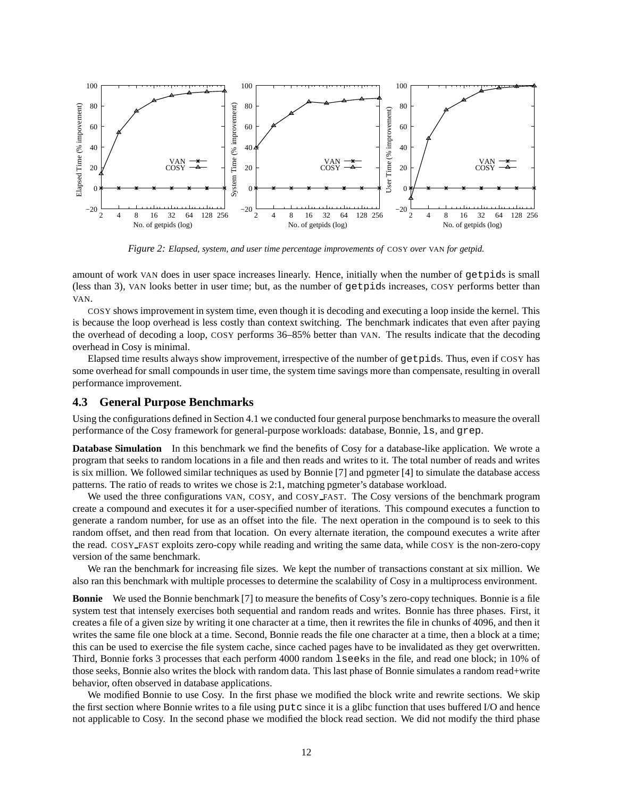

*Figure 2: Elapsed, system, and user time percentage improvements of* COSY *over* VAN *for getpid.*

amount of work VAN does in user space increases linearly. Hence, initially when the number of getpids is small (less than 3), VAN looks better in user time; but, as the number of getpids increases, COSY performs better than VAN.

COSY shows improvement in system time, even though it is decoding and executing a loop inside the kernel. This is because the loop overhead is less costly than context switching. The benchmark indicates that even after paying the overhead of decoding a loop, COSY performs 36–85% better than VAN. The results indicate that the decoding overhead in Cosy is minimal.

Elapsed time results always show improvement, irrespective of the number of getpids. Thus, even if COSY has some overhead for small compounds in user time, the system time savings more than compensate, resulting in overall performance improvement.

### **4.3 General Purpose Benchmarks**

Using the configurations defined in Section 4.1 we conducted four general purpose benchmarksto measure the overall performance of the Cosy framework for general-purpose workloads: database, Bonnie, ls, and grep.

**Database Simulation** In this benchmark we find the benefits of Cosy for a database-like application. We wrote a program that seeks to random locations in a file and then reads and writes to it. The total number of reads and writes is six million. We followed similar techniques as used by Bonnie [7] and pgmeter [4] to simulate the database access patterns. The ratio of reads to writes we chose is 2:1, matching pgmeter's database workload.

We used the three configurations VAN, COSY, and COSY FAST. The Cosy versions of the benchmark program create a compound and executes it for a user-specified number of iterations. This compound executes a function to generate a random number, for use as an offset into the file. The next operation in the compound is to seek to this random offset, and then read from that location. On every alternate iteration, the compound executes a write after the read. COSY FAST exploits zero-copy while reading and writing the same data, while COSY is the non-zero-copy version of the same benchmark.

We ran the benchmark for increasing file sizes. We kept the number of transactions constant at six million. We also ran this benchmark with multiple processes to determine the scalability of Cosy in a multiprocess environment.

**Bonnie** We used the Bonnie benchmark [7] to measure the benefits of Cosy's zero-copy techniques. Bonnie is a file system test that intensely exercises both sequential and random reads and writes. Bonnie has three phases. First, it creates a file of a given size by writing it one character at a time, then it rewrites the file in chunks of 4096, and then it writes the same file one block at a time. Second, Bonnie reads the file one character at a time, then a block at a time; this can be used to exercise the file system cache, since cached pages have to be invalidated as they get overwritten. Third, Bonnie forks 3 processes that each perform 4000 random lseeks in the file, and read one block; in 10% of those seeks, Bonnie also writes the block with random data. This last phase of Bonnie simulates a random read+write behavior, often observed in database applications.

We modified Bonnie to use Cosy. In the first phase we modified the block write and rewrite sections. We skip the first section where Bonnie writes to a file using putc since it is a glibc function that uses buffered I/O and hence not applicable to Cosy. In the second phase we modified the block read section. We did not modify the third phase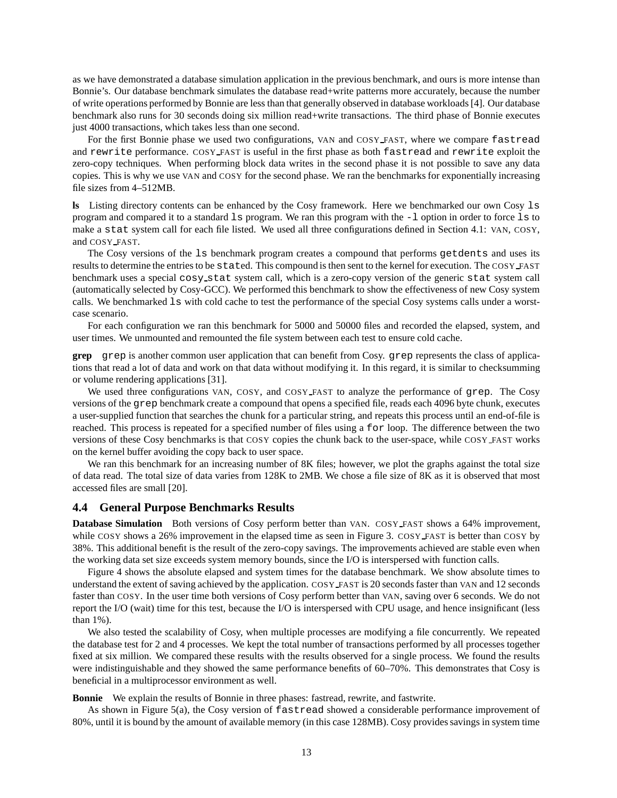as we have demonstrated a database simulation application in the previous benchmark, and ours is more intense than Bonnie's. Our database benchmark simulates the database read+write patterns more accurately, because the number of write operations performed by Bonnie are less than that generally observed in database workloads[4]. Our database benchmark also runs for 30 seconds doing six million read+write transactions. The third phase of Bonnie executes just 4000 transactions, which takes less than one second.

For the first Bonnie phase we used two configurations, VAN and COSY FAST, where we compare fastread and rewrite performance. COSY FAST is useful in the first phase as both fastread and rewrite exploit the zero-copy techniques. When performing block data writes in the second phase it is not possible to save any data copies. This is why we use VAN and COSY for the second phase. We ran the benchmarks for exponentially increasing file sizes from 4–512MB.

**ls** Listing directory contents can be enhanced by the Cosy framework. Here we benchmarked our own Cosy ls program and compared it to a standard  $\perp$  s program. We ran this program with the  $-1$  option in order to force  $\perp$  s to make a stat system call for each file listed. We used all three configurations defined in Section 4.1: VAN, COSY, and COSY FAST.

The Cosy versions of the ls benchmark program creates a compound that performs getdents and uses its results to determine the entries to be stated. This compound is then sent to the kernel for execution. The COSY FAST benchmark uses a special cosy stat system call, which is a zero-copy version of the generic stat system call (automatically selected by Cosy-GCC). We performed this benchmark to show the effectiveness of new Cosy system calls. We benchmarked ls with cold cache to test the performance of the special Cosy systems calls under a worstcase scenario.

For each configuration we ran this benchmark for 5000 and 50000 files and recorded the elapsed, system, and user times. We unmounted and remounted the file system between each test to ensure cold cache.

**grep** grep is another common user application that can benefit from Cosy. grep represents the class of applications that read a lot of data and work on that data without modifying it. In this regard, it is similar to checksumming or volume rendering applications [31].

We used three configurations VAN, COSY, and COSY FAST to analyze the performance of grep. The Cosy versions of the grep benchmark create a compound that opens a specified file, reads each 4096 byte chunk, executes a user-supplied function that searches the chunk for a particular string, and repeats this process until an end-of-file is reached. This process is repeated for a specified number of files using a for loop. The difference between the two versions of these Cosy benchmarks is that COSY copies the chunk back to the user-space, while COSY FAST works on the kernel buffer avoiding the copy back to user space.

We ran this benchmark for an increasing number of 8K files; however, we plot the graphs against the total size of data read. The total size of data varies from 128K to 2MB. We chose a file size of 8K as it is observed that most accessed files are small [20].

#### **4.4 General Purpose Benchmarks Results**

**Database Simulation** Both versions of Cosy perform better than VAN. COSY\_FAST shows a 64% improvement, while COSY shows a 26% improvement in the elapsed time as seen in Figure 3. COSY FAST is better than COSY by 38%. This additional benefit is the result of the zero-copy savings. The improvements achieved are stable even when the working data set size exceeds system memory bounds, since the I/O is interspersed with function calls.

Figure 4 shows the absolute elapsed and system times for the database benchmark. We show absolute times to understand the extent of saving achieved by the application. COSY FAST is 20 seconds faster than VAN and 12 seconds faster than COSY. In the user time both versions of Cosy perform better than VAN, saving over 6 seconds. We do not report the I/O (wait) time for this test, because the I/O is interspersed with CPU usage, and hence insignificant (less than 1%).

We also tested the scalability of Cosy, when multiple processes are modifying a file concurrently. We repeated the database test for 2 and 4 processes. We kept the total number of transactions performed by all processes together fixed at six million. We compared these results with the results observed for a single process. We found the results were indistinguishable and they showed the same performance benefits of 60–70%. This demonstrates that Cosy is beneficial in a multiprocessor environment as well.

**Bonnie** We explain the results of Bonnie in three phases: fastread, rewrite, and fastwrite.

As shown in Figure 5(a), the Cosy version of fastread showed a considerable performance improvement of 80%, until it is bound by the amount of available memory (in this case 128MB). Cosy provides savings in system time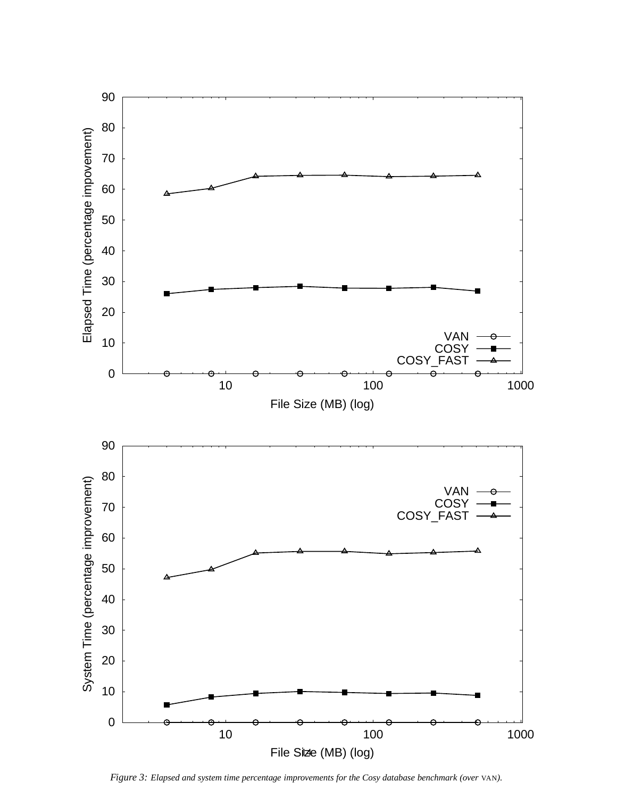

*Figure 3: Elapsed and system time percentage improvements for the Cosy database benchmark (over* VAN*).*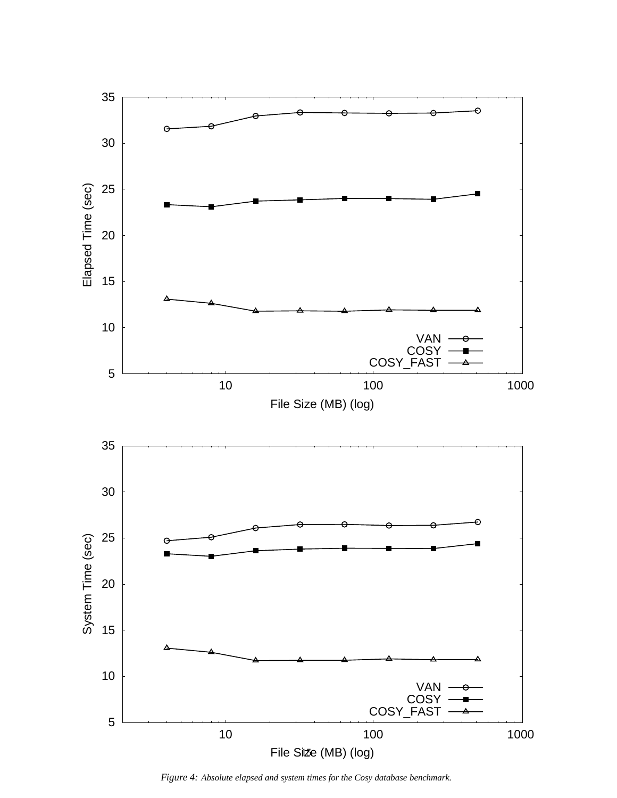

*Figure 4: Absolute elapsed and system times for the Cosy database benchmark.*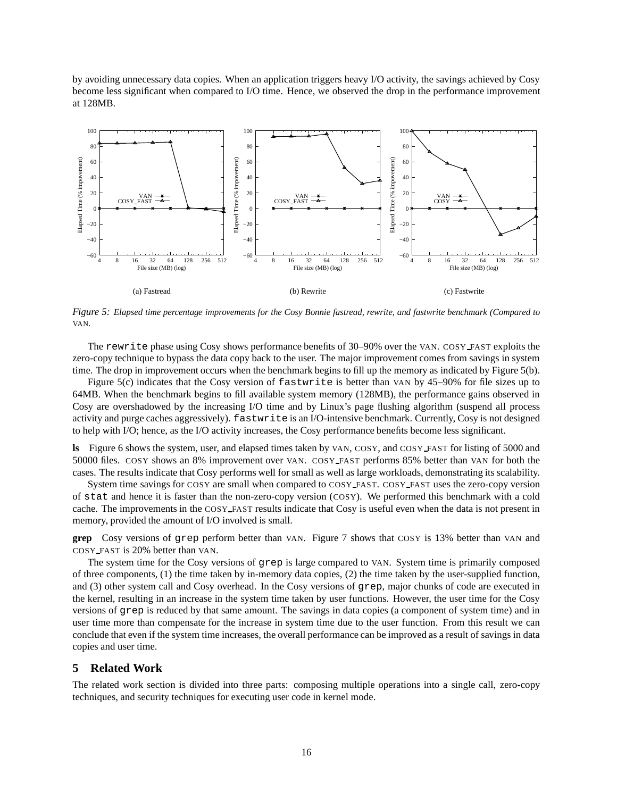by avoiding unnecessary data copies. When an application triggers heavy I/O activity, the savings achieved by Cosy become less significant when compared to I/O time. Hence, we observed the drop in the performance improvement at 128MB.



Figure 5: Elapsed time percentage improvements for the Cosy Bonnie fastread, rewrite, and fastwrite benchmark (Compared to VAN*.*

The rewrite phase using Cosy shows performance benefits of 30–90% over the VAN. COSY FAST exploits the zero-copy technique to bypass the data copy back to the user. The major improvement comes from savings in system time. The drop in improvement occurs when the benchmark begins to fill up the memory as indicated by Figure 5(b).

Figure 5(c) indicates that the Cosy version of fastwrite is better than VAN by 45–90% for file sizes up to 64MB. When the benchmark begins to fill available system memory (128MB), the performance gains observed in Cosy are overshadowed by the increasing I/O time and by Linux's page flushing algorithm (suspend all process activity and purge caches aggressively). fastwrite is an I/O-intensive benchmark. Currently, Cosy is not designed to help with I/O; hence, as the I/O activity increases, the Cosy performance benefits become less significant.

**ls** Figure 6 shows the system, user, and elapsed times taken by VAN, COSY, and COSY FAST for listing of 5000 and 50000 files. COSY shows an 8% improvement over VAN. COSY FAST performs 85% better than VAN for both the cases. The results indicate that Cosy performs well for small as well as large workloads, demonstrating its scalability.

System time savings for COSY are small when compared to COSY FAST. COSY FAST uses the zero-copy version of stat and hence it is faster than the non-zero-copy version (COSY). We performed this benchmark with a cold cache. The improvements in the COSY FAST results indicate that Cosy is useful even when the data is not present in memory, provided the amount of I/O involved is small.

**grep** Cosy versions of grep perform better than VAN. Figure 7 shows that COSY is 13% better than VAN and COSY FAST is 20% better than VAN.

The system time for the Cosy versions of grep is large compared to VAN. System time is primarily composed of three components, (1) the time taken by in-memory data copies, (2) the time taken by the user-supplied function, and (3) other system call and Cosy overhead. In the Cosy versions of grep, major chunks of code are executed in the kernel, resulting in an increase in the system time taken by user functions. However, the user time for the Cosy versions of grep is reduced by that same amount. The savings in data copies (a component of system time) and in user time more than compensate for the increase in system time due to the user function. From this result we can conclude that even if the system time increases, the overall performance can be improved as a result of savings in data copies and user time.

# **5 Related Work**

The related work section is divided into three parts: composing multiple operations into a single call, zero-copy techniques, and security techniques for executing user code in kernel mode.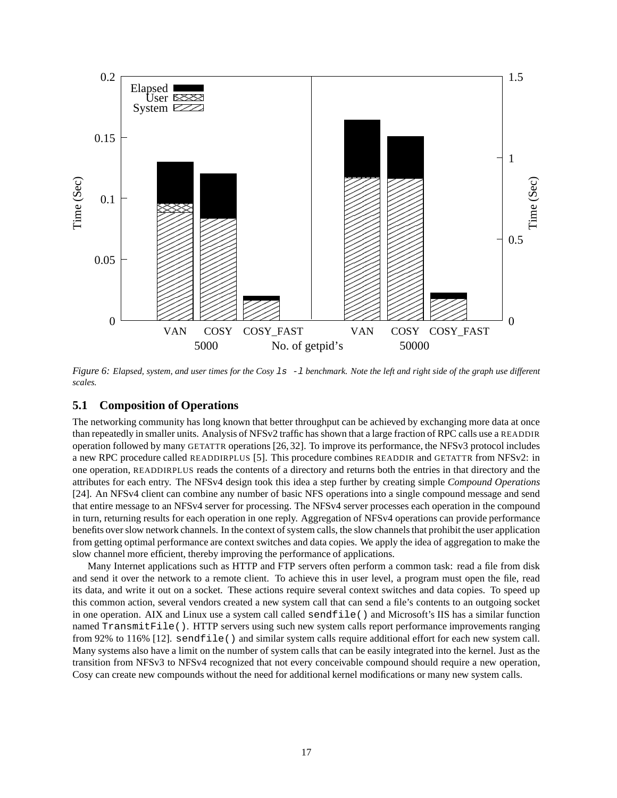

Figure 6: Elapsed, system, and user times for the Cosy  $1s - 1$  benchmark. Note the left and right side of the graph use different *scales.*

# **5.1 Composition of Operations**

The networking community has long known that better throughput can be achieved by exchanging more data at once than repeatedly in smaller units. Analysis of NFSv2 traffic has shown that a large fraction of RPC calls use a READDIR operation followed by many GETATTR operations [26, 32]. To improve its performance, the NFSv3 protocol includes a new RPC procedure called READDIRPLUS [5]. This procedure combines READDIR and GETATTR from NFSv2: in one operation, READDIRPLUS reads the contents of a directory and returns both the entries in that directory and the attributes for each entry. The NFSv4 design took this idea a step further by creating simple *Compound Operations* [24]. An NFSv4 client can combine any number of basic NFS operations into a single compound message and send that entire message to an NFSv4 server for processing. The NFSv4 server processes each operation in the compound in turn, returning results for each operation in one reply. Aggregation of NFSv4 operations can provide performance benefits over slow network channels. In the context of system calls, the slow channels that prohibit the user application from getting optimal performance are context switches and data copies. We apply the idea of aggregation to make the slow channel more efficient, thereby improving the performance of applications.

Many Internet applications such as HTTP and FTP servers often perform a common task: read a file from disk and send it over the network to a remote client. To achieve this in user level, a program must open the file, read its data, and write it out on a socket. These actions require several context switches and data copies. To speed up this common action, several vendors created a new system call that can send a file's contents to an outgoing socket in one operation. AIX and Linux use a system call called sendfile() and Microsoft's IIS has a similar function named TransmitFile(). HTTP servers using such new system calls report performance improvements ranging from 92% to 116% [12]. sendfile() and similar system calls require additional effort for each new system call. Many systems also have a limit on the number of system calls that can be easily integrated into the kernel. Just as the transition from NFSv3 to NFSv4 recognized that not every conceivable compound should require a new operation, Cosy can create new compounds without the need for additional kernel modifications or many new system calls.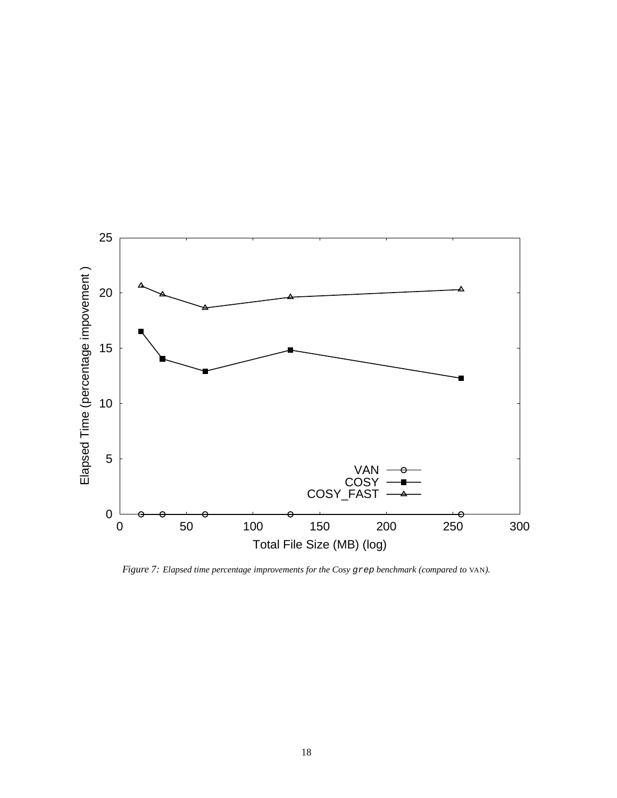

*Figure 7: Elapsed time percentage improvements for the Cosy* grep *benchmark (compared to* VAN*).*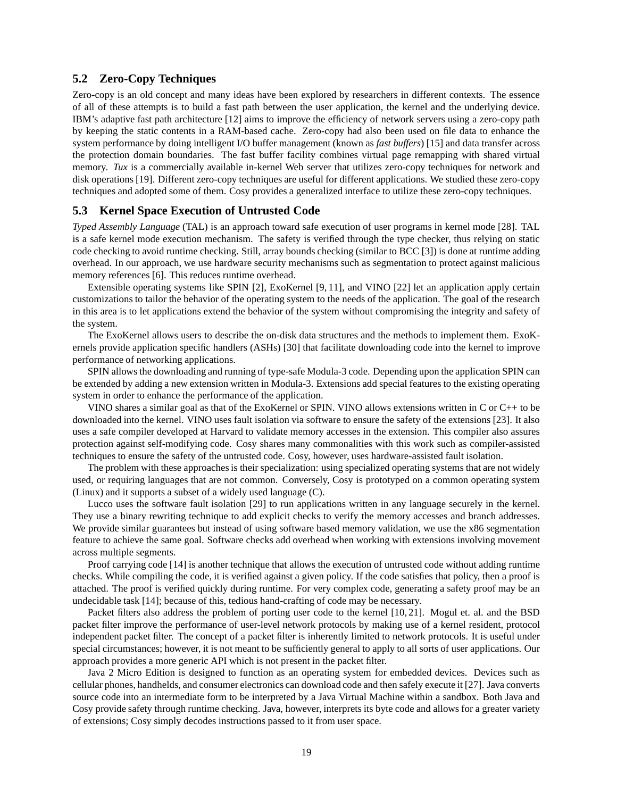# **5.2 Zero-Copy Techniques**

Zero-copy is an old concept and many ideas have been explored by researchers in different contexts. The essence of all of these attempts is to build a fast path between the user application, the kernel and the underlying device. IBM's adaptive fast path architecture [12] aims to improve the efficiency of network servers using a zero-copy path by keeping the static contents in a RAM-based cache. Zero-copy had also been used on file data to enhance the system performance by doing intelligent I/O buffer management (known as *fast buffers*) [15] and data transfer across the protection domain boundaries. The fast buffer facility combines virtual page remapping with shared virtual memory. *Tux* is a commercially available in-kernel Web server that utilizes zero-copy techniques for network and disk operations [19]. Different zero-copy techniques are useful for different applications. We studied these zero-copy techniques and adopted some of them. Cosy provides a generalized interface to utilize these zero-copy techniques.

# **5.3 Kernel Space Execution of Untrusted Code**

*Typed Assembly Language* (TAL) is an approach toward safe execution of user programs in kernel mode [28]. TAL is a safe kernel mode execution mechanism. The safety is verified through the type checker, thus relying on static code checking to avoid runtime checking. Still, array bounds checking (similar to BCC [3]) is done at runtime adding overhead. In our approach, we use hardware security mechanisms such as segmentation to protect against malicious memory references [6]. This reduces runtime overhead.

Extensible operating systems like SPIN [2], ExoKernel [9, 11], and VINO [22] let an application apply certain customizations to tailor the behavior of the operating system to the needs of the application. The goal of the research in this area is to let applications extend the behavior of the system without compromising the integrity and safety of the system.

The ExoKernel allows users to describe the on-disk data structures and the methods to implement them. ExoKernels provide application specific handlers (ASHs) [30] that facilitate downloading code into the kernel to improve performance of networking applications.

SPIN allows the downloading and running of type-safe Modula-3 code. Depending upon the application SPIN can be extended by adding a new extension written in Modula-3. Extensions add special features to the existing operating system in order to enhance the performance of the application.

VINO shares a similar goal as that of the ExoKernel or SPIN. VINO allows extensions written in C or C++ to be downloaded into the kernel. VINO uses fault isolation via software to ensure the safety of the extensions [23]. It also uses a safe compiler developed at Harvard to validate memory accesses in the extension. This compiler also assures protection against self-modifying code. Cosy shares many commonalities with this work such as compiler-assisted techniques to ensure the safety of the untrusted code. Cosy, however, uses hardware-assisted fault isolation.

The problem with these approaches is their specialization: using specialized operating systems that are not widely used, or requiring languages that are not common. Conversely, Cosy is prototyped on a common operating system (Linux) and it supports a subset of a widely used language (C).

Lucco uses the software fault isolation [29] to run applications written in any language securely in the kernel. They use a binary rewriting technique to add explicit checks to verify the memory accesses and branch addresses. We provide similar guarantees but instead of using software based memory validation, we use the x86 segmentation feature to achieve the same goal. Software checks add overhead when working with extensions involving movement across multiple segments.

Proof carrying code [14] is another technique that allows the execution of untrusted code without adding runtime checks. While compiling the code, it is verified against a given policy. If the code satisfies that policy, then a proof is attached. The proof is verified quickly during runtime. For very complex code, generating a safety proof may be an undecidable task [14]; because of this, tedious hand-crafting of code may be necessary.

Packet filters also address the problem of porting user code to the kernel [10, 21]. Mogul et. al. and the BSD packet filter improve the performance of user-level network protocols by making use of a kernel resident, protocol independent packet filter. The concept of a packet filter is inherently limited to network protocols. It is useful under special circumstances; however, it is not meant to be sufficiently general to apply to all sorts of user applications. Our approach provides a more generic API which is not present in the packet filter.

Java 2 Micro Edition is designed to function as an operating system for embedded devices. Devices such as cellular phones, handhelds, and consumer electronics can download code and then safely execute it [27]. Java converts source code into an intermediate form to be interpreted by a Java Virtual Machine within a sandbox. Both Java and Cosy provide safety through runtime checking. Java, however, interprets its byte code and allows for a greater variety of extensions; Cosy simply decodes instructions passed to it from user space.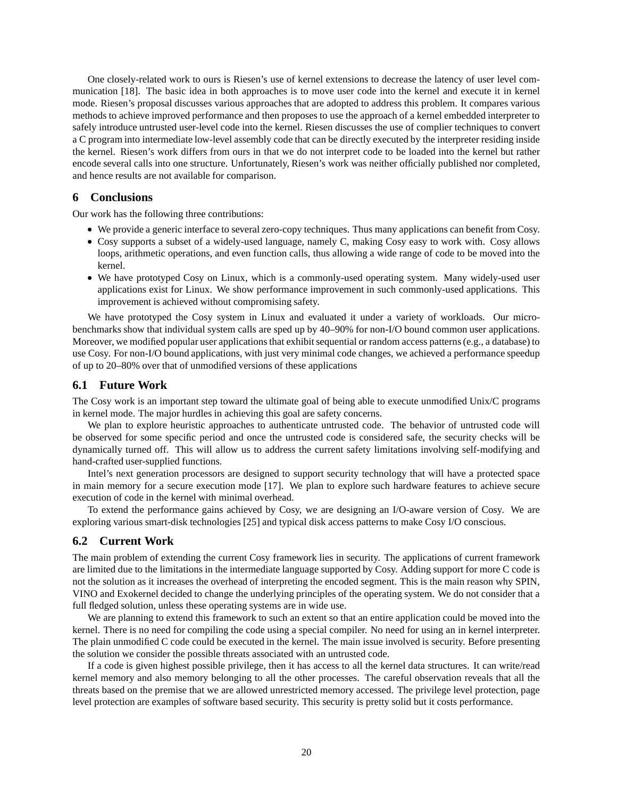One closely-related work to ours is Riesen's use of kernel extensions to decrease the latency of user level communication [18]. The basic idea in both approaches is to move user code into the kernel and execute it in kernel mode. Riesen's proposal discusses various approaches that are adopted to address this problem. It compares various methods to achieve improved performance and then proposes to use the approach of a kernel embedded interpreter to safely introduce untrusted user-level code into the kernel. Riesen discusses the use of complier techniques to convert a C program into intermediate low-level assembly code that can be directly executed by the interpreter residing inside the kernel. Riesen's work differs from ours in that we do not interpret code to be loaded into the kernel but rather encode several calls into one structure. Unfortunately, Riesen's work was neither officially published nor completed, and hence results are not available for comparison.

### **6 Conclusions**

Our work has the following three contributions:

- We provide a generic interface to several zero-copy techniques. Thus many applications can benefit from Cosy.
- Cosy supports a subset of a widely-used language, namely C, making Cosy easy to work with. Cosy allows loops, arithmetic operations, and even function calls, thus allowing a wide range of code to be moved into the kernel.
- We have prototyped Cosy on Linux, which is a commonly-used operating system. Many widely-used user applications exist for Linux. We show performance improvement in such commonly-used applications. This improvement is achieved without compromising safety.

We have prototyped the Cosy system in Linux and evaluated it under a variety of workloads. Our microbenchmarks show that individual system calls are sped up by 40–90% for non-I/O bound common user applications. Moreover, we modified popular user applications that exhibit sequential or random access patterns (e.g., a database) to use Cosy. For non-I/O bound applications, with just very minimal code changes, we achieved a performance speedup of up to 20–80% over that of unmodified versions of these applications

### **6.1 Future Work**

The Cosy work is an important step toward the ultimate goal of being able to execute unmodified Unix/C programs in kernel mode. The major hurdles in achieving this goal are safety concerns.

We plan to explore heuristic approaches to authenticate untrusted code. The behavior of untrusted code will be observed for some specific period and once the untrusted code is considered safe, the security checks will be dynamically turned off. This will allow us to address the current safety limitations involving self-modifying and hand-crafted user-supplied functions.

Intel's next generation processors are designed to support security technology that will have a protected space in main memory for a secure execution mode [17]. We plan to explore such hardware features to achieve secure execution of code in the kernel with minimal overhead.

To extend the performance gains achieved by Cosy, we are designing an I/O-aware version of Cosy. We are exploring various smart-disk technologies [25] and typical disk access patterns to make Cosy I/O conscious.

### **6.2 Current Work**

The main problem of extending the current Cosy framework lies in security. The applications of current framework are limited due to the limitations in the intermediate language supported by Cosy. Adding support for more C code is not the solution as it increases the overhead of interpreting the encoded segment. This is the main reason why SPIN, VINO and Exokernel decided to change the underlying principles of the operating system. We do not consider that a full fledged solution, unless these operating systems are in wide use.

We are planning to extend this framework to such an extent so that an entire application could be moved into the kernel. There is no need for compiling the code using a special compiler. No need for using an in kernel interpreter. The plain unmodified C code could be executed in the kernel. The main issue involved is security. Before presenting the solution we consider the possible threats associated with an untrusted code.

If a code is given highest possible privilege, then it has access to all the kernel data structures. It can write/read kernel memory and also memory belonging to all the other processes. The careful observation reveals that all the threats based on the premise that we are allowed unrestricted memory accessed. The privilege level protection, page level protection are examples of software based security. This security is pretty solid but it costs performance.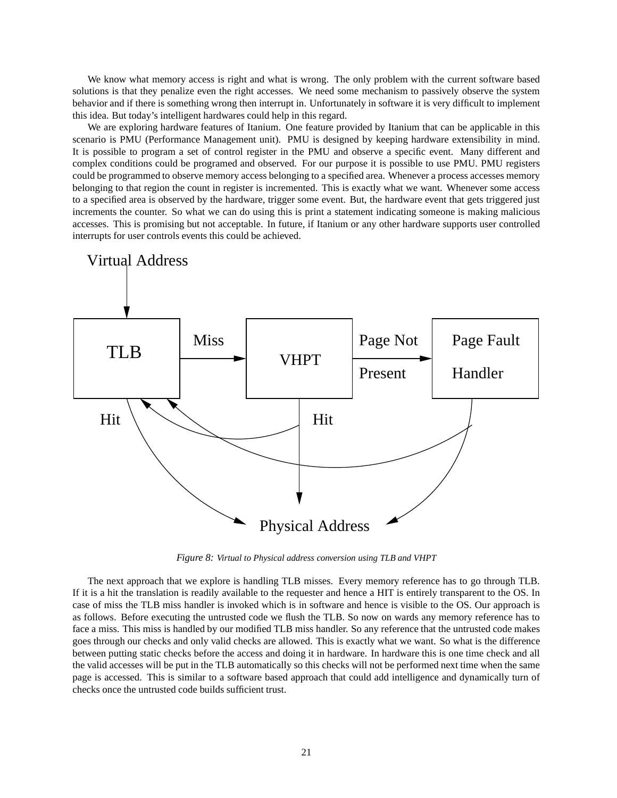We know what memory access is right and what is wrong. The only problem with the current software based solutions is that they penalize even the right accesses. We need some mechanism to passively observe the system behavior and if there is something wrong then interrupt in. Unfortunately in software it is very difficult to implement this idea. But today's intelligent hardwares could help in this regard.

We are exploring hardware features of Itanium. One feature provided by Itanium that can be applicable in this scenario is PMU (Performance Management unit). PMU is designed by keeping hardware extensibility in mind. It is possible to program a set of control register in the PMU and observe a specific event. Many different and complex conditions could be programed and observed. For our purpose it is possible to use PMU. PMU registers could be programmed to observe memory access belonging to a specified area. Whenever a process accesses memory belonging to that region the count in register is incremented. This is exactly what we want. Whenever some access to a specified area is observed by the hardware, trigger some event. But, the hardware event that gets triggered just increments the counter. So what we can do using this is print a statement indicating someone is making malicious accesses. This is promising but not acceptable. In future, if Itanium or any other hardware supports user controlled interrupts for user controls events this could be achieved.



*Figure 8: Virtual to Physical address conversion using TLB and VHPT*

The next approach that we explore is handling TLB misses. Every memory reference has to go through TLB. If it is a hit the translation is readily available to the requester and hence a HIT is entirely transparent to the OS. In case of miss the TLB miss handler is invoked which is in software and hence is visible to the OS. Our approach is as follows. Before executing the untrusted code we flush the TLB. So now on wards any memory reference has to face a miss. This miss is handled by our modified TLB miss handler. So any reference that the untrusted code makes goes through our checks and only valid checks are allowed. This is exactly what we want. So what is the difference between putting static checks before the access and doing it in hardware. In hardware this is one time check and all the valid accesses will be put in the TLB automatically so this checks will not be performed next time when the same page is accessed. This is similar to a software based approach that could add intelligence and dynamically turn of checks once the untrusted code builds sufficient trust.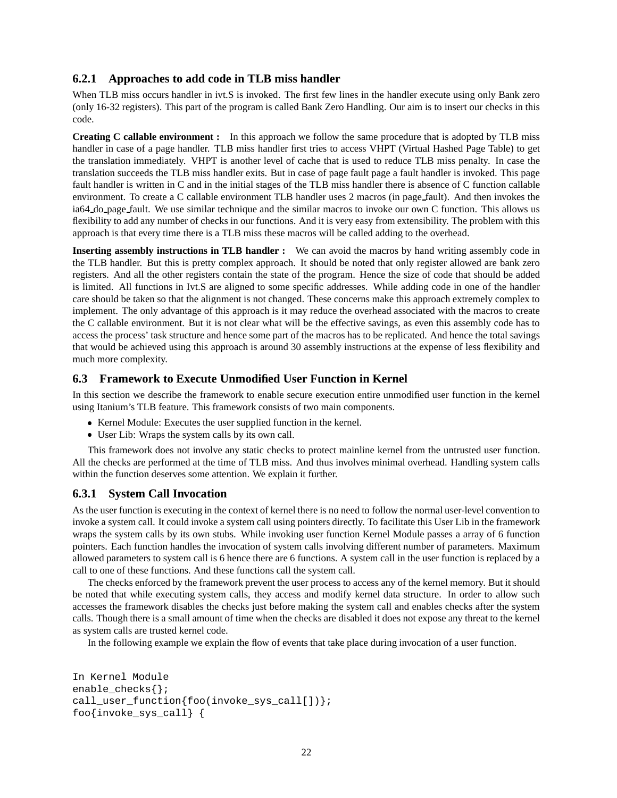# **6.2.1 Approaches to add code in TLB miss handler**

When TLB miss occurs handler in ivt.S is invoked. The first few lines in the handler execute using only Bank zero (only 16-32 registers). This part of the program is called Bank Zero Handling. Our aim is to insert our checks in this code.

**Creating C callable environment :** In this approach we follow the same procedure that is adopted by TLB miss handler in case of a page handler. TLB miss handler first tries to access VHPT (Virtual Hashed Page Table) to get the translation immediately. VHPT is another level of cache that is used to reduce TLB miss penalty. In case the translation succeeds the TLB miss handler exits. But in case of page fault page a fault handler is invoked. This page fault handler is written in C and in the initial stages of the TLB miss handler there is absence of C function callable environment. To create a C callable environment TLB handler uses 2 macros (in page fault). And then invokes the ia64 do page fault. We use similar technique and the similar macros to invoke our own C function. This allows us flexibility to add any number of checks in our functions. And it is very easy from extensibility. The problem with this approach is that every time there is a TLB miss these macros will be called adding to the overhead.

**Inserting assembly instructions in TLB handler :** We can avoid the macros by hand writing assembly code in the TLB handler. But this is pretty complex approach. It should be noted that only register allowed are bank zero registers. And all the other registers contain the state of the program. Hence the size of code that should be added is limited. All functions in Ivt.S are aligned to some specific addresses. While adding code in one of the handler care should be taken so that the alignment is not changed. These concerns make this approach extremely complex to implement. The only advantage of this approach is it may reduce the overhead associated with the macros to create the C callable environment. But it is not clear what will be the effective savings, as even this assembly code has to access the process' task structure and hence some part of the macros has to be replicated. And hence the total savings that would be achieved using this approach is around 30 assembly instructions at the expense of less flexibility and much more complexity.

# **6.3 Framework to Execute Unmodified User Function in Kernel**

In this section we describe the framework to enable secure execution entire unmodified user function in the kernel using Itanium's TLB feature. This framework consists of two main components.

- Kernel Module: Executes the user supplied function in the kernel.
- User Lib: Wraps the system calls by its own call.

This framework does not involve any static checks to protect mainline kernel from the untrusted user function. All the checks are performed at the time of TLB miss. And thus involves minimal overhead. Handling system calls within the function deserves some attention. We explain it further.

# **6.3.1 System Call Invocation**

As the user function is executing in the context of kernel there is no need to follow the normal user-level convention to invoke a system call. It could invoke a system call using pointers directly. To facilitate this User Lib in the framework wraps the system calls by its own stubs. While invoking user function Kernel Module passes a array of 6 function pointers. Each function handles the invocation of system calls involving different number of parameters. Maximum allowed parameters to system call is 6 hence there are 6 functions. A system call in the user function is replaced by a call to one of these functions. And these functions call the system call.

The checks enforced by the framework prevent the user process to access any of the kernel memory. But it should be noted that while executing system calls, they access and modify kernel data structure. In order to allow such accesses the framework disables the checks just before making the system call and enables checks after the system calls. Though there is a small amount of time when the checks are disabled it does not expose any threat to the kernel as system calls are trusted kernel code.

In the following example we explain the flow of events that take place during invocation of a user function.

```
In Kernel Module
enable_checks{};
call_user_function{foo(invoke_sys_call[])};
foo{invoke_sys_call} {
```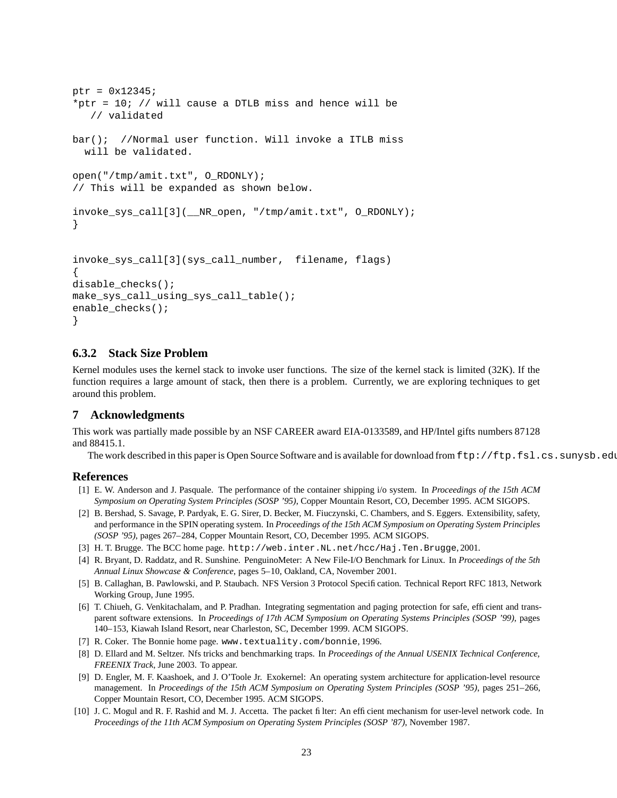```
ptr = 0x12345;*ptr = 10; // will cause a DTLB miss and hence will be
   // validated
bar(); //Normal user function. Will invoke a ITLB miss
  will be validated.
open("/tmp/amit.txt", O_RDONLY);
// This will be expanded as shown below.
invoke_sys_call[3](__NR_open, "/tmp/amit.txt", O_RDONLY);
}
invoke_sys_call[3](sys_call_number, filename, flags)
{
disable_checks();
make_sys_call_using_sys_call_table();
enable_checks();
}
```
# **6.3.2 Stack Size Problem**

Kernel modules uses the kernel stack to invoke user functions. The size of the kernel stack is limited (32K). If the function requires a large amount of stack, then there is a problem. Currently, we are exploring techniques to get around this problem.

#### **7 Acknowledgments**

This work was partially made possible by an NSF CAREER award EIA-0133589, and HP/Intel gifts numbers 87128 and 88415.1.

The work described in this paper is Open Source Software and is available for download from  $ftp://ftp.fsl.cs.sunrysb.edu/$ 

#### **References**

- [1] E. W. Anderson and J. Pasquale. The performance of the container shipping i/o system. In *Proceedings of the 15th ACM Symposium on Operating System Principles (SOSP '95)*, Copper Mountain Resort, CO, December 1995. ACM SIGOPS.
- [2] B. Bershad, S. Savage, P. Pardyak, E. G. Sirer, D. Becker, M. Fiuczynski, C. Chambers, and S. Eggers. Extensibility, safety, and performance in the SPIN operating system. In *Proceedings of the 15th ACM Symposium on Operating System Principles (SOSP '95)*, pages 267–284, Copper Mountain Resort, CO, December 1995. ACM SIGOPS.
- [3] H. T. Brugge. The BCC home page. http://web.inter.NL.net/hcc/Haj.Ten.Brugge, 2001.
- [4] R. Bryant, D. Raddatz, and R. Sunshine. PenguinoMeter: A New File-I/O Benchmark for Linux. In *Proceedings of the 5th Annual Linux Showcase & Conference*, pages 5–10, Oakland, CA, November 2001.
- [5] B. Callaghan, B. Pawlowski, and P. Staubach. NFS Version 3 Protocol Specification. Technical Report RFC 1813, Network Working Group, June 1995.
- [6] T. Chiueh, G. Venkitachalam, and P. Pradhan. Integrating segmentation and paging protection for safe, efficient and transparent software extensions. In *Proceedings of 17th ACM Symposium on Operating Systems Principles (SOSP '99)*, pages 140–153, Kiawah Island Resort, near Charleston, SC, December 1999. ACM SIGOPS.
- [7] R. Coker. The Bonnie home page. www.textuality.com/bonnie, 1996.
- [8] D. Ellard and M. Seltzer. Nfs tricks and benchmarking traps. In *Proceedings of the Annual USENIX Technical Conference, FREENIX Track*, June 2003. To appear.
- [9] D. Engler, M. F. Kaashoek, and J. O'Toole Jr. Exokernel: An operating system architecture for application-level resource management. In *Proceedings of the 15th ACM Symposium on Operating System Principles (SOSP '95)*, pages 251–266, Copper Mountain Resort, CO, December 1995. ACM SIGOPS.
- [10] J. C. Mogul and R. F. Rashid and M. J. Accetta. The packet filter: An efficient mechanism for user-level network code. In *Proceedings of the 11th ACM Symposium on Operating System Principles (SOSP '87)*, November 1987.